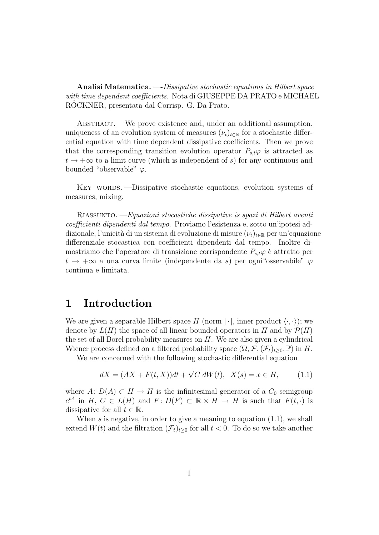Analisi Matematica. —-Dissipative stochastic equations in Hilbert space with time dependent coefficients. Nota di GIUSEPPE DA PRATO e MICHAEL ROCKNER, presentata dal Corrisp. G. Da Prato.

ABSTRACT. —We prove existence and, under an additional assumption, uniqueness of an evolution system of measures  $(\nu_t)_{t \in \mathbb{R}}$  for a stochastic differential equation with time dependent dissipative coefficients. Then we prove that the corresponding transition evolution operator  $P_{s,t}\varphi$  is attracted as  $t \to +\infty$  to a limit curve (which is independent of s) for any continuous and bounded "observable"  $\varphi$ .

KEY WORDS. —Dissipative stochastic equations, evolution systems of measures, mixing.

Riassunto. —Equazioni stocastiche dissipative is spazi di Hilbert aventi coefficienti dipendenti dal tempo. Proviamo l'esistenza e, sotto un'ipotesi addizionale, l'unicità di un sistema di evoluzione di misure  $(\nu_t)_{t\in\mathbb{R}}$  per un'equazione differenziale stocastica con coefficienti dipendenti dal tempo. Inoltre dimostriamo che l'operatore di transizione corrispondente  $P_{s,t}\varphi$  è attratto per  $t \to +\infty$  a una curva limite (independente da s) per ogni "osservabile"  $\varphi$ continua e limitata.

## 1 Introduction

We are given a separable Hilbert space H (norm  $|\cdot|$ , inner product  $\langle \cdot, \cdot \rangle$ ); we denote by  $L(H)$  the space of all linear bounded operators in H and by  $\mathcal{P}(H)$ the set of all Borel probability measures on H. We are also given a cylindrical Wiener process defined on a filtered probability space  $(\Omega, \mathcal{F}, (\mathcal{F}_t)_{t>0}, \mathbb{P})$  in H.

We are concerned with the following stochastic differential equation

$$
dX = (AX + F(t, X))dt + \sqrt{C} dW(t), \ \ X(s) = x \in H,
$$
 (1.1)

where  $A: D(A) \subset H \to H$  is the infinitesimal generator of a  $C_0$  semigroup  $e^{tA}$  in H,  $C \in L(H)$  and  $F: D(F) \subset \mathbb{R} \times H \to H$  is such that  $F(t, \cdot)$  is dissipative for all  $t \in \mathbb{R}$ .

When  $s$  is negative, in order to give a meaning to equation  $(1.1)$ , we shall extend  $W(t)$  and the filtration  $(\mathcal{F}_t)_{t>0}$  for all  $t<0$ . To do so we take another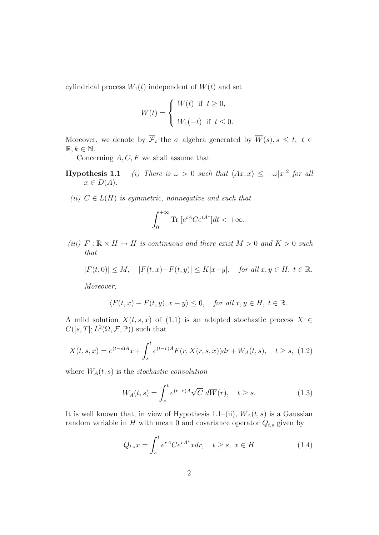cylindrical process  $W_1(t)$  independent of  $W(t)$  and set

$$
\overline{W}(t) = \begin{cases} W(t) & \text{if } t \ge 0, \\ W_1(-t) & \text{if } t \le 0. \end{cases}
$$

Moreover, we denote by  $\overline{\mathcal{F}}_t$  the  $\sigma$ -algebra generated by  $\overline{W}(s), s \leq t, t \in$  $\mathbb{R}, k \in \mathbb{N}.$ 

Concerning  $A, C, F$  we shall assume that

- **Hypothesis 1.1** (i) There is  $\omega > 0$  such that  $\langle Ax, x \rangle \leq -\omega |x|^2$  for all  $x \in D(A).$
- (ii)  $C \in L(H)$  is symmetric, nonnegative and such that

$$
\int_0^{+\infty} \text{Tr}\, \left[e^{tA} C e^{tA^*}\right] dt < +\infty.
$$

(iii)  $F : \mathbb{R} \times H \to H$  is continuous and there exist  $M > 0$  and  $K > 0$  such that

$$
|F(t,0)| \le M, \quad |F(t,x) - F(t,y)| \le K|x-y|, \quad \text{for all } x, y \in H, \ t \in \mathbb{R}.
$$

Moreover,

$$
\langle F(t,x)-F(t,y),x-y\rangle\leq 0,\quad \textit{for all}\; x,y\in H,\; t\in\mathbb{R}.
$$

A mild solution  $X(t, s, x)$  of (1.1) is an adapted stochastic process  $X \in$  $C([s,T];L^2(\Omega,\mathcal{F},\mathbb{P}))$  such that

$$
X(t,s,x) = e^{(t-s)A}x + \int_s^t e^{(t-r)A} F(r, X(r,s,x))dr + W_A(t,s), \quad t \ge s, \tag{1.2}
$$

where  $W_A(t, s)$  is the stochastic convolution

$$
W_A(t,s) = \int_s^t e^{(t-r)A} \sqrt{C} \, d\overline{W}(r), \quad t \ge s. \tag{1.3}
$$

It is well known that, in view of Hypothesis 1.1–(ii),  $W_A(t, s)$  is a Gaussian random variable in  $H$  with mean 0 and covariance operator  $Q_{t,s}$  given by

$$
Q_{t,s}x = \int_{s}^{t} e^{rA} Ce^{rA^*}x dr, \quad t \ge s, \ x \in H
$$
\n(1.4)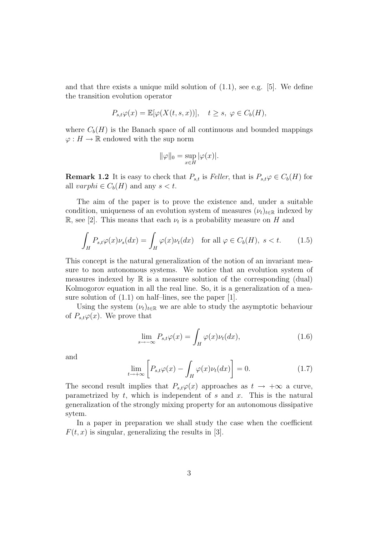and that thre exists a unique mild solution of  $(1.1)$ , see e.g. [5]. We define the transition evolution operator

$$
P_{s,t}\varphi(x) = \mathbb{E}[\varphi(X(t,s,x))], \quad t \ge s, \ \varphi \in C_b(H),
$$

where  $C_b(H)$  is the Banach space of all continuous and bounded mappings  $\varphi: H \to \mathbb{R}$  endowed with the sup norm

$$
\|\varphi\|_0 = \sup_{x \in H} |\varphi(x)|.
$$

**Remark 1.2** It is easy to check that  $P_{s,t}$  is Feller, that is  $P_{s,t} \varphi \in C_b(H)$  for all varphi  $\in C_b(H)$  and any  $s < t$ .

The aim of the paper is to prove the existence and, under a suitable condition, uniqueness of an evolution system of measures  $(\nu_t)_{t\in\mathbb{R}}$  indexed by R, see [2]. This means that each  $\nu_t$  is a probability measure on H and

$$
\int_{H} P_{s,t} \varphi(x) \nu_s(dx) = \int_{H} \varphi(x) \nu_t(dx) \quad \text{for all } \varphi \in C_b(H), \ s < t. \tag{1.5}
$$

This concept is the natural generalization of the notion of an invariant measure to non autonomous systems. We notice that an evolution system of measures indexed by R is a measure solution of the corresponding (dual) Kolmogorov equation in all the real line. So, it is a generalization of a measure solution of (1.1) on half–lines, see the paper [1].

Using the system  $(\nu_t)_{t \in \mathbb{R}}$  we are able to study the asymptotic behaviour of  $P_{s,t}\varphi(x)$ . We prove that

$$
\lim_{s \to -\infty} P_{s,t}\varphi(x) = \int_H \varphi(x)\nu_t(dx), \tag{1.6}
$$

and

$$
\lim_{t \to +\infty} \left[ P_{s,t} \varphi(x) - \int_H \varphi(x) \nu_t(dx) \right] = 0. \tag{1.7}
$$

The second result implies that  $P_{s,t}\varphi(x)$  approaches as  $t \to +\infty$  a curve, parametrized by  $t$ , which is independent of  $s$  and  $x$ . This is the natural generalization of the strongly mixing property for an autonomous dissipative sytem.

In a paper in preparation we shall study the case when the coefficient  $F(t, x)$  is singular, generalizing the results in [3].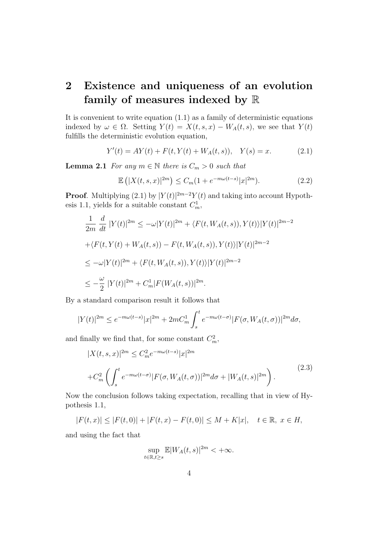## 2 Existence and uniqueness of an evolution family of measures indexed by R

It is convenient to write equation  $(1.1)$  as a family of deterministic equations indexed by  $\omega \in \Omega$ . Setting  $Y(t) = X(t, s, x) - W_A(t, s)$ , we see that  $Y(t)$ fulfills the deterministic evolution equation,

$$
Y'(t) = AY(t) + F(t, Y(t) + W_A(t, s)), \quad Y(s) = x.
$$
 (2.1)

**Lemma 2.1** For any  $m \in \mathbb{N}$  there is  $C_m > 0$  such that

$$
\mathbb{E}\left(|X(t,s,x)|^{2m}\right) \le C_m(1+e^{-m\omega(t-s)}|x|^{2m}).\tag{2.2}
$$

**Proof.** Multiplying (2.1) by  $|Y(t)|^{2m-2}Y(t)$  and taking into account Hypothesis 1.1, yields for a suitable constant  $C_m^1$ ,

$$
\frac{1}{2m} \frac{d}{dt} |Y(t)|^{2m} \le -\omega |Y(t)|^{2m} + \langle F(t, W_A(t, s)), Y(t) \rangle |Y(t)|^{2m-2}
$$
  
+ $\langle F(t, Y(t) + W_A(t, s)) - F(t, W_A(t, s)), Y(t) \rangle |Y(t)|^{2m-2}$   
 $\le -\omega |Y(t)|^{2m} + \langle F(t, W_A(t, s)), Y(t) \rangle |Y(t)|^{2m-2}$   
 $\le -\frac{\omega}{2} |Y(t)|^{2m} + C_m^1 |F(W_A(t, s))|^{2m}.$ 

By a standard comparison result it follows that

$$
|Y(t)|^{2m} \le e^{-m\omega(t-s)}|x|^{2m} + 2mC_m^1 \int_s^t e^{-m\omega(t-\sigma)} |F(\sigma, W_A(t, \sigma))|^{2m} d\sigma,
$$

and finally we find that, for some constant  $C_m^2$ ,

$$
|X(t,s,x)|^{2m} \leq C_m^2 e^{-m\omega(t-s)} |x|^{2m}
$$
  
+
$$
C_m^2 \left( \int_s^t e^{-m\omega(t-\sigma)} |F(\sigma, W_A(t,\sigma))|^{2m} d\sigma + |W_A(t,s)|^{2m} \right).
$$
 (2.3)

Now the conclusion follows taking expectation, recalling that in view of Hypothesis 1.1,

$$
|F(t,x)| \le |F(t,0)| + |F(t,x) - F(t,0)| \le M + K|x|, \quad t \in \mathbb{R}, \ x \in H,
$$

and using the fact that

$$
\sup_{t\in\mathbb{R},t\geq s}\mathbb{E}|W_A(t,s)|^{2m}<+\infty.
$$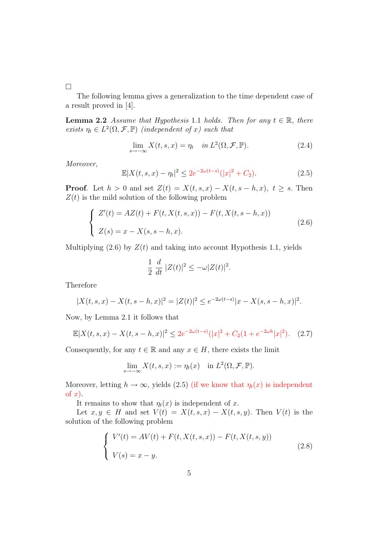$\Box$ 

The following lemma gives a generalization to the time dependent case of a result proved in [4].

**Lemma 2.2** Assume that Hypothesis 1.1 holds. Then for any  $t \in \mathbb{R}$ , there exists  $\eta_t \in L^2(\Omega, \mathcal{F}, \mathbb{P})$  (independent of x) such that

$$
\lim_{s \to -\infty} X(t, s, x) = \eta_t \quad \text{in } L^2(\Omega, \mathcal{F}, \mathbb{P}). \tag{2.4}
$$

Moreover,

$$
\mathbb{E}|X(t,s,x) - \eta_t|^2 \le 2e^{-2\omega(t-s)}(|x|^2 + C_2). \tag{2.5}
$$

**Proof.** Let  $h > 0$  and set  $Z(t) = X(t, s, x) - X(t, s - h, x), t \geq s$ . Then  $Z(t)$  is the mild solution of the following problem

$$
\begin{cases}\nZ'(t) = AZ(t) + F(t, X(t, s, x)) - F(t, X(t, s - h, x)) \\
Z(s) = x - X(s, s - h, x).\n\end{cases}
$$
\n(2.6)

Multiplying  $(2.6)$  by  $Z(t)$  and taking into account Hypothesis 1.1, yields

$$
\frac{1}{2} \frac{d}{dt} |Z(t)|^2 \leq -\omega |Z(t)|^2.
$$

Therefore

$$
|X(t,s,x) - X(t,s-h,x)|^2 = |Z(t)|^2 \le e^{-2\omega(t-s)}|x - X(s,s-h,x)|^2.
$$

Now, by Lemma 2.1 it follows that

$$
\mathbb{E}|X(t,s,x) - X(t,s-h,x)|^2 \le 2e^{-2\omega(t-s)}(|x|^2 + C_2(1+e^{-2\omega h}|x|^2). \tag{2.7}
$$

Consequently, for any  $t \in \mathbb{R}$  and any  $x \in H$ , there exists the limit

$$
\lim_{s \to -\infty} X(t, s, x) := \eta_t(x) \quad \text{in } L^2(\Omega, \mathcal{F}, \mathbb{P}).
$$

Moreover, letting  $h \to \infty$ , yields (2.5) (if we know that  $\eta_t(x)$  is independent of  $x$ ).

It remains to show that  $\eta_t(x)$  is independent of x.

Let  $x, y \in H$  and set  $V(t) = X(t, s, x) - X(t, s, y)$ . Then  $V(t)$  is the solution of the following problem

$$
\begin{cases}\nV'(t) = AV(t) + F(t, X(t, s, x)) - F(t, X(t, s, y)) \\
V(s) = x - y.\n\end{cases}
$$
\n(2.8)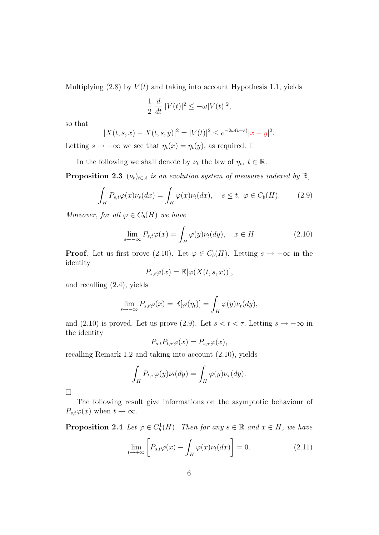Multiplying  $(2.8)$  by  $V(t)$  and taking into account Hypothesis 1.1, yields

$$
\frac{1}{2} \frac{d}{dt} |V(t)|^2 \le -\omega |V(t)|^2,
$$

so that

$$
|X(t,s,x) - X(t,s,y)|^2 = |V(t)|^2 \le e^{-2\omega(t-s)}|x-y|^2.
$$

Letting  $s \to -\infty$  we see that  $\eta_t(x) = \eta_t(y)$ , as required.  $\Box$ 

In the following we shall denote by  $\nu_t$  the law of  $\eta_t$ ,  $t \in \mathbb{R}$ .

**Proposition 2.3** ( $\nu_t$ )<sub>t∈R</sub> is an evolution system of measures indexed by R,

$$
\int_{H} P_{s,t} \varphi(x) \nu_s(dx) = \int_{H} \varphi(x) \nu_t(dx), \quad s \le t, \ \varphi \in C_b(H). \tag{2.9}
$$

Moreover, for all  $\varphi \in C_b(H)$  we have

$$
\lim_{s \to -\infty} P_{s,t}\varphi(x) = \int_H \varphi(y)\nu_t(dy), \quad x \in H \tag{2.10}
$$

**Proof.** Let us first prove (2.10). Let  $\varphi \in C_b(H)$ . Letting  $s \to -\infty$  in the identity

$$
P_{s,t}\varphi(x) = \mathbb{E}[\varphi(X(t,s,x))],
$$

and recalling (2.4), yields

$$
\lim_{s \to -\infty} P_{s,t} \varphi(x) = \mathbb{E}[\varphi(\eta_t)] = \int_H \varphi(y) \nu_t(dy),
$$

and (2.10) is proved. Let us prove (2.9). Let  $s < t < \tau$ . Letting  $s \to -\infty$  in the identity

$$
P_{s,t}P_{t,\tau}\varphi(x) = P_{s,\tau}\varphi(x),
$$

recalling Remark 1.2 and taking into account (2.10), yields

$$
\int_H P_{t,\tau} \varphi(y) \nu_t(dy) = \int_H \varphi(y) \nu_\tau(dy).
$$

 $\Box$ 

The following result give informations on the asymptotic behaviour of  $P_{s,t}\varphi(x)$  when  $t\to\infty$ .

**Proposition 2.4** Let  $\varphi \in C_b^1(H)$ . Then for any  $s \in \mathbb{R}$  and  $x \in H$ , we have

$$
\lim_{t \to +\infty} \left[ P_{s,t} \varphi(x) - \int_H \varphi(x) \nu_t(dx) \right] = 0. \tag{2.11}
$$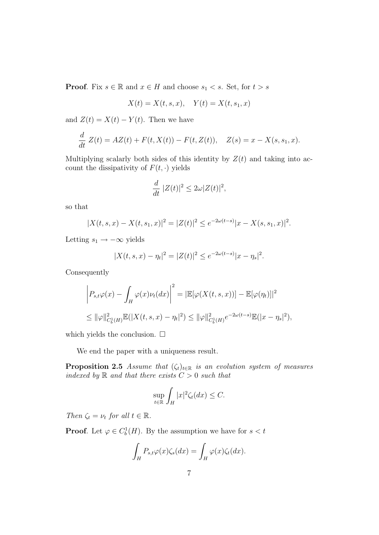**Proof.** Fix  $s \in \mathbb{R}$  and  $x \in H$  and choose  $s_1 < s$ . Set, for  $t > s$ 

$$
X(t) = X(t, s, x), \quad Y(t) = X(t, s_1, x)
$$

and  $Z(t) = X(t) - Y(t)$ . Then we have

$$
\frac{d}{dt} Z(t) = AZ(t) + F(t, X(t)) - F(t, Z(t)), \quad Z(s) = x - X(s, s_1, x).
$$

Multiplying scalarly both sides of this identity by  $Z(t)$  and taking into account the dissipativity of  $F(t, \cdot)$  yields

$$
\frac{d}{dt} |Z(t)|^2 \le 2\omega |Z(t)|^2,
$$

so that

$$
|X(t,s,x) - X(t,s_1,x)|^2 = |Z(t)|^2 \le e^{-2\omega(t-s)} |x - X(s,s_1,x)|^2.
$$

Letting  $s_1 \rightarrow -\infty$  yields

$$
|X(t,s,x) - \eta_t|^2 = |Z(t)|^2 \le e^{-2\omega(t-s)} |x - \eta_s|^2.
$$

Consequently

$$
\left| P_{s,t}\varphi(x) - \int_H \varphi(x)\nu_t(dx) \right|^2 = |\mathbb{E}[\varphi(X(t,s,x))] - \mathbb{E}[\varphi(\eta_t)]|^2
$$
  

$$
\leq ||\varphi||^2_{C_b^1(H)} \mathbb{E}(|X(t,s,x) - \eta_t|^2) \leq ||\varphi||^2_{C_b^1(H)} e^{-2\omega(t-s)} \mathbb{E}(|x - \eta_s|^2),
$$

which yields the conclusion.  $\square$ 

We end the paper with a uniqueness result.

**Proposition 2.5** Assume that  $(\zeta_t)_{t \in \mathbb{R}}$  is an evolution system of measures indexed by  $\mathbb R$  and that there exists  $C > 0$  such that

$$
\sup_{t \in \mathbb{R}} \int_{H} |x|^2 \zeta_t(dx) \leq C.
$$

Then  $\zeta_t = \nu_t$  for all  $t \in \mathbb{R}$ .

**Proof.** Let  $\varphi \in C_b^1(H)$ . By the assumption we have for  $s < t$ 

$$
\int_H P_{s,t}\varphi(x)\zeta_s(dx) = \int_H \varphi(x)\zeta_t(dx).
$$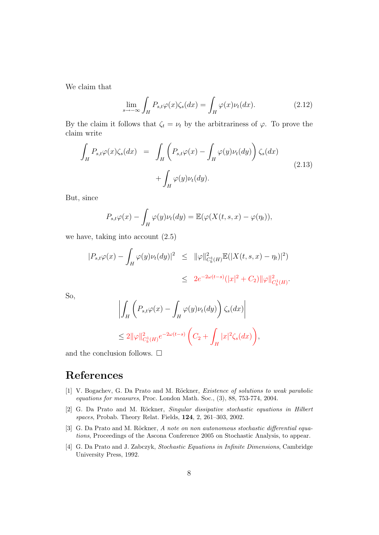We claim that

$$
\lim_{s \to -\infty} \int_{H} P_{s,t} \varphi(x) \zeta_s(dx) = \int_{H} \varphi(x) \nu_t(dx). \tag{2.12}
$$

By the claim it follows that  $\zeta_t = \nu_t$  by the arbitrariness of  $\varphi$ . To prove the claim write

$$
\int_{H} P_{s,t} \varphi(x) \zeta_{s}(dx) = \int_{H} \left( P_{s,t} \varphi(x) - \int_{H} \varphi(y) \nu_{t}(dy) \right) \zeta_{s}(dx) + \int_{H} \varphi(y) \nu_{t}(dy).
$$
\n(2.13)

But, since

$$
P_{s,t}\varphi(x) - \int_H \varphi(y)\nu_t(dy) = \mathbb{E}(\varphi(X(t,s,x) - \varphi(\eta_t)),
$$

we have, taking into account (2.5)

$$
|P_{s,t}\varphi(x) - \int_H \varphi(y)\nu_t(dy)|^2 \leq ||\varphi||^2_{C_b^1(H)} \mathbb{E}(|X(t,s,x) - \eta_t)|^2)
$$
  

$$
\leq 2e^{-2\omega(t-s)} (|x|^2 + C_2) ||\varphi||^2_{C_b^1(H)}.
$$

So,

$$
\left| \int_H \left( P_{s,t} \varphi(x) - \int_H \varphi(y) \nu_t(dy) \right) \zeta_s(dx) \right|
$$
  

$$
\leq 2 \| \varphi \|_{C_b^1(H)}^2 e^{-2\omega(t-s)} \left( C_2 + \int_H |x|^2 \zeta_s(dx) \right),
$$

and the conclusion follows.  $\Box$ 

## References

- [1] V. Bogachev, G. Da Prato and M. Röckner, *Existence of solutions to weak parabolic* equations for measures, Proc. London Math. Soc., (3), 88, 753-774, 2004.
- [2] G. Da Prato and M. Röckner, Singular dissipative stochastic equations in Hilbert spaces, Probab. Theory Relat. Fields, 124, 2, 261–303, 2002.
- [3] G. Da Prato and M. Röckner, A note on non autonomous stochastic differential equations, Proceedings of the Ascona Conference 2005 on Stochastic Analysis, to appear.
- [4] G. Da Prato and J. Zabczyk, Stochastic Equations in Infinite Dimensions, Cambridge University Press, 1992.